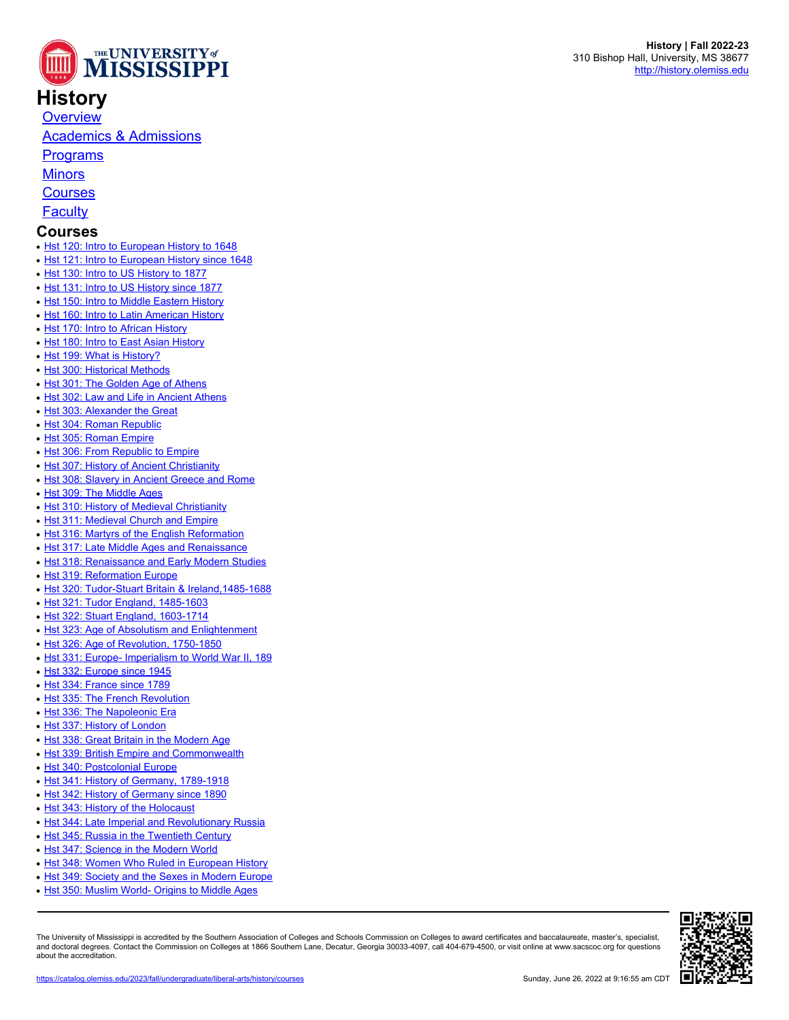

## **History**

**[Overview](https://catalog.olemiss.edu/liberal-arts/history)** 

[Academics & Admissions](https://catalog.olemiss.edu/liberal-arts/history/academics)

**[Programs](https://catalog.olemiss.edu/liberal-arts/history/programs)** 

**[Minors](https://catalog.olemiss.edu/liberal-arts/history/minors)** 

**[Courses](https://catalog.olemiss.edu/liberal-arts/history/courses)** 

**[Faculty](https://catalog.olemiss.edu/liberal-arts/history/faculty)** 

## **Courses**

- [Hst 120: Intro to European History to 1648](https://catalog.olemiss.edu/liberal-arts/history/hst-120)
- [Hst 121: Intro to European History since 1648](https://catalog.olemiss.edu/liberal-arts/history/hst-121)
- [Hst 130: Intro to US History to 1877](https://catalog.olemiss.edu/liberal-arts/history/hst-130)
- [Hst 131: Intro to US History since 1877](https://catalog.olemiss.edu/liberal-arts/history/hst-131)
- [Hst 150: Intro to Middle Eastern History](https://catalog.olemiss.edu/liberal-arts/history/hst-150)
- [Hst 160: Intro to Latin American History](https://catalog.olemiss.edu/liberal-arts/history/hst-160)
- [Hst 170: Intro to African History](https://catalog.olemiss.edu/liberal-arts/history/hst-170)
- [Hst 180: Intro to East Asian History](https://catalog.olemiss.edu/liberal-arts/history/hst-180)
- [Hst 199: What is History?](https://catalog.olemiss.edu/liberal-arts/history/hst-199)
- [Hst 300: Historical Methods](https://catalog.olemiss.edu/liberal-arts/history/hst-300)
- [Hst 301: The Golden Age of Athens](https://catalog.olemiss.edu/liberal-arts/history/hst-301)
- [Hst 302: Law and Life in Ancient Athens](https://catalog.olemiss.edu/liberal-arts/history/hst-302)
- [Hst 303: Alexander the Great](https://catalog.olemiss.edu/liberal-arts/history/hst-303)
- [Hst 304: Roman Republic](https://catalog.olemiss.edu/liberal-arts/history/hst-304)
- [Hst 305: Roman Empire](https://catalog.olemiss.edu/liberal-arts/history/hst-305)
- [Hst 306: From Republic to Empire](https://catalog.olemiss.edu/liberal-arts/history/hst-306)
- [Hst 307: History of Ancient Christianity](https://catalog.olemiss.edu/liberal-arts/history/hst-307)
- [Hst 308: Slavery in Ancient Greece and Rome](https://catalog.olemiss.edu/liberal-arts/history/hst-308)
- [Hst 309: The Middle Ages](https://catalog.olemiss.edu/liberal-arts/history/hst-309)
- [Hst 310: History of Medieval Christianity](https://catalog.olemiss.edu/liberal-arts/history/hst-310)
- [Hst 311: Medieval Church and Empire](https://catalog.olemiss.edu/liberal-arts/history/hst-311)
- [Hst 316: Martyrs of the English Reformation](https://catalog.olemiss.edu/liberal-arts/history/hst-316)
- [Hst 317: Late Middle Ages and Renaissance](https://catalog.olemiss.edu/liberal-arts/history/hst-317)
- [Hst 318: Renaissance and Early Modern Studies](https://catalog.olemiss.edu/liberal-arts/history/hst-318)
- [Hst 319: Reformation Europe](https://catalog.olemiss.edu/liberal-arts/history/hst-319)
- [Hst 320: Tudor-Stuart Britain & Ireland,1485-1688](https://catalog.olemiss.edu/liberal-arts/history/hst-320)
- [Hst 321: Tudor England, 1485-1603](https://catalog.olemiss.edu/liberal-arts/history/hst-321)
- [Hst 322: Stuart England, 1603-1714](https://catalog.olemiss.edu/liberal-arts/history/hst-322)
- [Hst 323: Age of Absolutism and Enlightenment](https://catalog.olemiss.edu/liberal-arts/history/hst-323)
- [Hst 326: Age of Revolution, 1750-1850](https://catalog.olemiss.edu/liberal-arts/history/hst-326)
- [Hst 331: Europe- Imperialism to World War II, 189](https://catalog.olemiss.edu/liberal-arts/history/hst-331)
- [Hst 332: Europe since 1945](https://catalog.olemiss.edu/liberal-arts/history/hst-332)
- [Hst 334: France since 1789](https://catalog.olemiss.edu/liberal-arts/history/hst-334)
- [Hst 335: The French Revolution](https://catalog.olemiss.edu/liberal-arts/history/hst-335)
- [Hst 336: The Napoleonic Era](https://catalog.olemiss.edu/liberal-arts/history/hst-336)
- [Hst 337: History of London](https://catalog.olemiss.edu/liberal-arts/history/hst-337)
- [Hst 338: Great Britain in the Modern Age](https://catalog.olemiss.edu/liberal-arts/history/hst-338)
- [Hst 339: British Empire and Commonwealth](https://catalog.olemiss.edu/liberal-arts/history/hst-339)
- [Hst 340: Postcolonial Europe](https://catalog.olemiss.edu/liberal-arts/history/hst-340)
- [Hst 341: History of Germany, 1789-1918](https://catalog.olemiss.edu/liberal-arts/history/hst-341)
- [Hst 342: History of Germany since 1890](https://catalog.olemiss.edu/liberal-arts/history/hst-342)
- [Hst 343: History of the Holocaust](https://catalog.olemiss.edu/liberal-arts/history/hst-343)
- [Hst 344: Late Imperial and Revolutionary Russia](https://catalog.olemiss.edu/liberal-arts/history/hst-344)
- [Hst 345: Russia in the Twentieth Century](https://catalog.olemiss.edu/liberal-arts/history/hst-345)
- [Hst 347: Science in the Modern World](https://catalog.olemiss.edu/liberal-arts/history/hst-347)
- [Hst 348: Women Who Ruled in European History](https://catalog.olemiss.edu/liberal-arts/history/hst-348)
- [Hst 349: Society and the Sexes in Modern Europe](https://catalog.olemiss.edu/liberal-arts/history/hst-349)
- [Hst 350: Muslim World- Origins to Middle Ages](https://catalog.olemiss.edu/liberal-arts/history/hst-350)

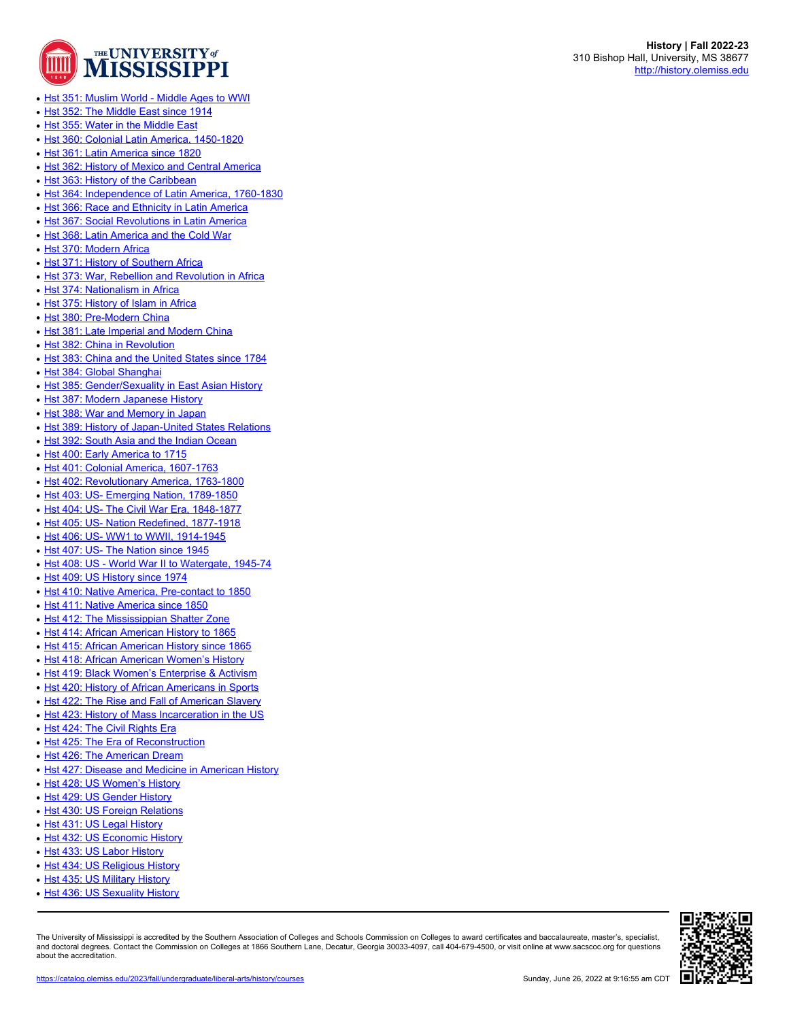

- [Hst 351: Muslim World Middle Ages to WWI](https://catalog.olemiss.edu/liberal-arts/history/hst-351)
- [Hst 352: The Middle East since 1914](https://catalog.olemiss.edu/liberal-arts/history/hst-352)
- [Hst 355: Water in the Middle East](https://catalog.olemiss.edu/liberal-arts/history/hst-355)
- Bolds [Hst 360: Colonial Latin America, 1450-1820](https://catalog.olemiss.edu/liberal-arts/history/hst-360)
- [Hst 361: Latin America since 1820](https://catalog.olemiss.edu/liberal-arts/history/hst-361)
- [Hst 362: History of Mexico and Central America](https://catalog.olemiss.edu/liberal-arts/history/hst-362)
- [Hst 363: History of the Caribbean](https://catalog.olemiss.edu/liberal-arts/history/hst-363)
- [Hst 364: Independence of Latin America, 1760-1830](https://catalog.olemiss.edu/liberal-arts/history/hst-364)
- [Hst 366: Race and Ethnicity in Latin America](https://catalog.olemiss.edu/liberal-arts/history/hst-366)
- [Hst 367: Social Revolutions in Latin America](https://catalog.olemiss.edu/liberal-arts/history/hst-367)
- [Hst 368: Latin America and the Cold War](https://catalog.olemiss.edu/liberal-arts/history/hst-368)
- [Hst 370: Modern Africa](https://catalog.olemiss.edu/liberal-arts/history/hst-370)
- [Hst 371: History of Southern Africa](https://catalog.olemiss.edu/liberal-arts/history/hst-371)
- [Hst 373: War, Rebellion and Revolution in Africa](https://catalog.olemiss.edu/liberal-arts/history/hst-373)
- [Hst 374: Nationalism in Africa](https://catalog.olemiss.edu/liberal-arts/history/hst-374)
- [Hst 375: History of Islam in Africa](https://catalog.olemiss.edu/liberal-arts/history/hst-375)
- [Hst 380: Pre-Modern China](https://catalog.olemiss.edu/liberal-arts/history/hst-380)
- [Hst 381: Late Imperial and Modern China](https://catalog.olemiss.edu/liberal-arts/history/hst-381)
- [Hst 382: China in Revolution](https://catalog.olemiss.edu/liberal-arts/history/hst-382)
- [Hst 383: China and the United States since 1784](https://catalog.olemiss.edu/liberal-arts/history/hst-383)
- [Hst 384: Global Shanghai](https://catalog.olemiss.edu/liberal-arts/history/hst-384)
- [Hst 385: Gender/Sexuality in East Asian History](https://catalog.olemiss.edu/liberal-arts/history/hst-385)
- [Hst 387: Modern Japanese History](https://catalog.olemiss.edu/liberal-arts/history/hst-387)
- [Hst 388: War and Memory in Japan](https://catalog.olemiss.edu/liberal-arts/history/hst-388)
- [Hst 389: History of Japan-United States Relations](https://catalog.olemiss.edu/liberal-arts/history/hst-389)
- [Hst 392: South Asia and the Indian Ocean](https://catalog.olemiss.edu/liberal-arts/history/hst-392)
- [Hst 400: Early America to 1715](https://catalog.olemiss.edu/liberal-arts/history/hst-400)
- [Hst 401: Colonial America, 1607-1763](https://catalog.olemiss.edu/liberal-arts/history/hst-401)
- Blass [Hst 402: Revolutionary America, 1763-1800](https://catalog.olemiss.edu/liberal-arts/history/hst-402)
- [Hst 403: US- Emerging Nation, 1789-1850](https://catalog.olemiss.edu/liberal-arts/history/hst-403)
- [Hst 404: US- The Civil War Era, 1848-1877](https://catalog.olemiss.edu/liberal-arts/history/hst-404)
- B [Hst 405: US- Nation Redefined, 1877-1918](https://catalog.olemiss.edu/liberal-arts/history/hst-405)
- [Hst 406: US- WW1 to WWII, 1914-1945](https://catalog.olemiss.edu/liberal-arts/history/hst-406)
- [Hst 407: US- The Nation since 1945](https://catalog.olemiss.edu/liberal-arts/history/hst-407)
- [Hst 408: US World War II to Watergate, 1945-74](https://catalog.olemiss.edu/liberal-arts/history/hst-408)
- [Hst 409: US History since 1974](https://catalog.olemiss.edu/liberal-arts/history/hst-409)
- [Hst 410: Native America, Pre-contact to 1850](https://catalog.olemiss.edu/liberal-arts/history/hst-410)
- [Hst 411: Native America since 1850](https://catalog.olemiss.edu/liberal-arts/history/hst-411)
- [Hst 412: The Mississippian Shatter Zone](https://catalog.olemiss.edu/liberal-arts/history/hst-412)
- [Hst 414: African American History to 1865](https://catalog.olemiss.edu/liberal-arts/history/hst-414)
- [Hst 415: African American History since 1865](https://catalog.olemiss.edu/liberal-arts/history/hst-415)
- [Hst 418: African American Women's History](https://catalog.olemiss.edu/liberal-arts/history/hst-418)
- [Hst 419: Black Women's Enterprise & Activism](https://catalog.olemiss.edu/liberal-arts/history/hst-419)
- [Hst 420: History of African Americans in Sports](https://catalog.olemiss.edu/liberal-arts/history/hst-420)
- [Hst 422: The Rise and Fall of American Slavery](https://catalog.olemiss.edu/liberal-arts/history/hst-422)
- [Hst 423: History of Mass Incarceration in the US](https://catalog.olemiss.edu/liberal-arts/history/hst-423)
- [Hst 424: The Civil Rights Era](https://catalog.olemiss.edu/liberal-arts/history/hst-424)
- [Hst 425: The Era of Reconstruction](https://catalog.olemiss.edu/liberal-arts/history/hst-425)
- [Hst 426: The American Dream](https://catalog.olemiss.edu/liberal-arts/history/hst-426)
- [Hst 427: Disease and Medicine in American History](https://catalog.olemiss.edu/liberal-arts/history/hst-427)
- [Hst 428: US Women's History](https://catalog.olemiss.edu/liberal-arts/history/hst-428)
- [Hst 429: US Gender History](https://catalog.olemiss.edu/liberal-arts/history/hst-429)
- [Hst 430: US Foreign Relations](https://catalog.olemiss.edu/liberal-arts/history/hst-430)
- [Hst 431: US Legal History](https://catalog.olemiss.edu/liberal-arts/history/hst-431)
- [Hst 432: US Economic History](https://catalog.olemiss.edu/liberal-arts/history/hst-432)
- [Hst 433: US Labor History](https://catalog.olemiss.edu/liberal-arts/history/hst-433)
- [Hst 434: US Religious History](https://catalog.olemiss.edu/liberal-arts/history/hst-434)
- [Hst 435: US Military History](https://catalog.olemiss.edu/liberal-arts/history/hst-435)
- [Hst 436: US Sexuality History](https://catalog.olemiss.edu/liberal-arts/history/hst-436)

The University of Mississippi is accredited by the Southern Association of Colleges and Schools Commission on Colleges to award certificates and baccalaureate, master's, specialist, and doctoral degrees. Contact the Commission on Colleges at 1866 Southern Lane, Decatur, Georgia 30033-4097, call 404-679-4500, or visit online at www.sacscoc.org for questions about the accreditation.

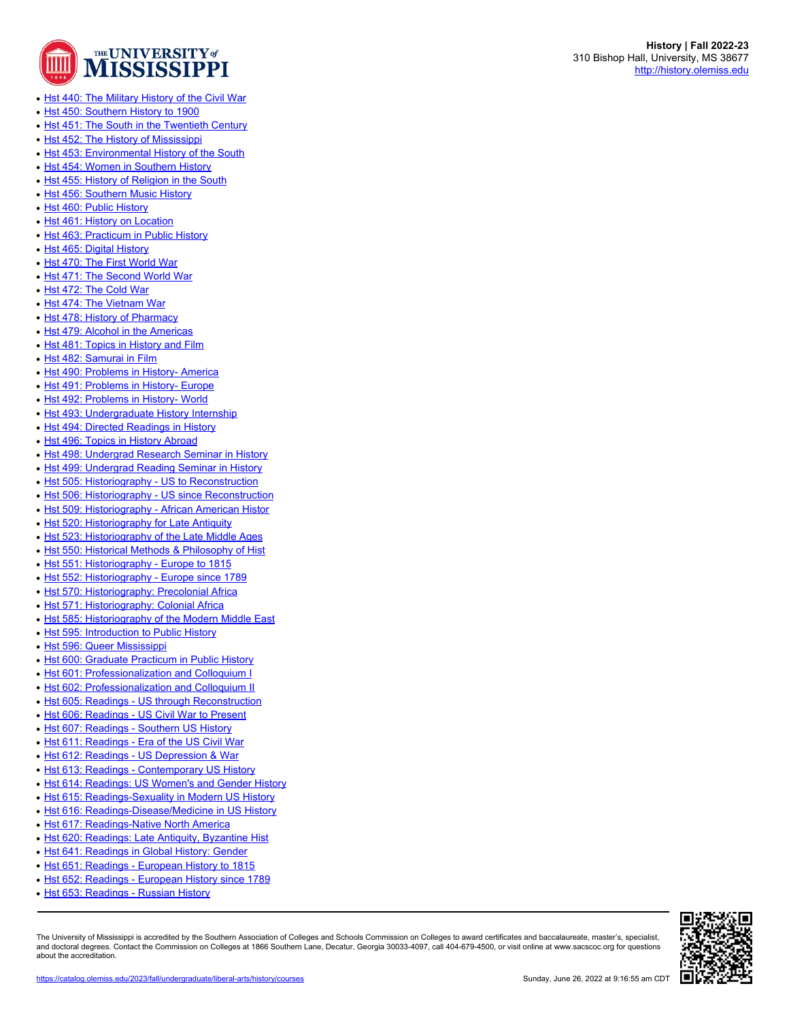

- [Hst 440: The Military History of the Civil War](https://catalog.olemiss.edu/liberal-arts/history/hst-440)
- [Hst 450: Southern History to 1900](https://catalog.olemiss.edu/liberal-arts/history/hst-450)
- [Hst 451: The South in the Twentieth Century](https://catalog.olemiss.edu/liberal-arts/history/hst-451)
- [Hst 452: The History of Mississippi](https://catalog.olemiss.edu/liberal-arts/history/hst-452)
- [Hst 453: Environmental History of the South](https://catalog.olemiss.edu/liberal-arts/history/hst-453)
- [Hst 454: Women in Southern History](https://catalog.olemiss.edu/liberal-arts/history/hst-454)
- [Hst 455: History of Religion in the South](https://catalog.olemiss.edu/liberal-arts/history/hst-455)
- [Hst 456: Southern Music History](https://catalog.olemiss.edu/liberal-arts/history/hst-456)
- [Hst 460: Public History](https://catalog.olemiss.edu/liberal-arts/history/hst-460)
- [Hst 461: History on Location](https://catalog.olemiss.edu/liberal-arts/history/hst-461)
- [Hst 463: Practicum in Public History](https://catalog.olemiss.edu/liberal-arts/history/hst-463)
- [Hst 465: Digital History](https://catalog.olemiss.edu/liberal-arts/history/hst-465)
- [Hst 470: The First World War](https://catalog.olemiss.edu/liberal-arts/history/hst-470)
- [Hst 471: The Second World War](https://catalog.olemiss.edu/liberal-arts/history/hst-471)
- [Hst 472: The Cold War](https://catalog.olemiss.edu/liberal-arts/history/hst-472)
- [Hst 474: The Vietnam War](https://catalog.olemiss.edu/liberal-arts/history/hst-474)
- [Hst 478: History of Pharmacy](https://catalog.olemiss.edu/liberal-arts/history/hst-478)
- [Hst 479: Alcohol in the Americas](https://catalog.olemiss.edu/liberal-arts/history/hst-479)
- [Hst 481: Topics in History and Film](https://catalog.olemiss.edu/liberal-arts/history/hst-481)
- [Hst 482: Samurai in Film](https://catalog.olemiss.edu/liberal-arts/history/hst-482)
- [Hst 490: Problems in History- America](https://catalog.olemiss.edu/liberal-arts/history/hst-490)
- [Hst 491: Problems in History- Europe](https://catalog.olemiss.edu/liberal-arts/history/hst-491)
- [Hst 492: Problems in History- World](https://catalog.olemiss.edu/liberal-arts/history/hst-492)
- [Hst 493: Undergraduate History Internship](https://catalog.olemiss.edu/liberal-arts/history/hst-493)
- [Hst 494: Directed Readings in History](https://catalog.olemiss.edu/liberal-arts/history/hst-494)
- [Hst 496: Topics in History Abroad](https://catalog.olemiss.edu/liberal-arts/history/hst-496)
- [Hst 498: Undergrad Research Seminar in History](https://catalog.olemiss.edu/liberal-arts/history/hst-498)
- [Hst 499: Undergrad Reading Seminar in History](https://catalog.olemiss.edu/liberal-arts/history/hst-499)
- [Hst 505: Historiography US to Reconstruction](https://catalog.olemiss.edu/liberal-arts/history/hst-505)
- [Hst 506: Historiography US since Reconstruction](https://catalog.olemiss.edu/liberal-arts/history/hst-506)
- [Hst 509: Historiography African American Histor](https://catalog.olemiss.edu/liberal-arts/history/hst-509)
- [Hst 520: Historiography for Late Antiquity](https://catalog.olemiss.edu/liberal-arts/history/hst-520)
- [Hst 523: Historiography of the Late Middle Ages](https://catalog.olemiss.edu/liberal-arts/history/hst-523)
- [Hst 550: Historical Methods & Philosophy of Hist](https://catalog.olemiss.edu/liberal-arts/history/hst-550)
- [Hst 551: Historiography Europe to 1815](https://catalog.olemiss.edu/liberal-arts/history/hst-551)
- [Hst 552: Historiography Europe since 1789](https://catalog.olemiss.edu/liberal-arts/history/hst-552)
- [Hst 570: Historiography: Precolonial Africa](https://catalog.olemiss.edu/liberal-arts/history/hst-570)
- [Hst 571: Historiography: Colonial Africa](https://catalog.olemiss.edu/liberal-arts/history/hst-571)
- [Hst 585: Historiography of the Modern Middle East](https://catalog.olemiss.edu/liberal-arts/history/hst-585)
- [Hst 595: Introduction to Public History](https://catalog.olemiss.edu/liberal-arts/history/hst-595)
- [Hst 596: Queer Mississippi](https://catalog.olemiss.edu/liberal-arts/history/hst-596)
- [Hst 600: Graduate Practicum in Public History](https://catalog.olemiss.edu/liberal-arts/history/hst-600)
- [Hst 601: Professionalization and Colloquium I](https://catalog.olemiss.edu/liberal-arts/history/hst-601)
- [Hst 602: Professionalization and Colloquium II](https://catalog.olemiss.edu/liberal-arts/history/hst-602)
- [Hst 605: Readings US through Reconstruction](https://catalog.olemiss.edu/liberal-arts/history/hst-605)
- [Hst 606: Readings US Civil War to Present](https://catalog.olemiss.edu/liberal-arts/history/hst-606)
- [Hst 607: Readings Southern US History](https://catalog.olemiss.edu/liberal-arts/history/hst-607)
- [Hst 611: Readings Era of the US Civil War](https://catalog.olemiss.edu/liberal-arts/history/hst-611)
- [Hst 612: Readings US Depression & War](https://catalog.olemiss.edu/liberal-arts/history/hst-612)
- 
- [Hst 613: Readings Contemporary US History](https://catalog.olemiss.edu/liberal-arts/history/hst-613)
- [Hst 614: Readings: US Women's and Gender History](https://catalog.olemiss.edu/liberal-arts/history/hst-614)
- [Hst 615: Readings-Sexuality in Modern US History](https://catalog.olemiss.edu/liberal-arts/history/hst-615)
- [Hst 616: Readings-Disease/Medicine in US History](https://catalog.olemiss.edu/liberal-arts/history/hst-616)
- [Hst 617: Readings-Native North America](https://catalog.olemiss.edu/liberal-arts/history/hst-617)
- [Hst 620: Readings: Late Antiquity, Byzantine Hist](https://catalog.olemiss.edu/liberal-arts/history/hst-620)
- [Hst 641: Readings in Global History: Gender](https://catalog.olemiss.edu/liberal-arts/history/hst-641)
- [Hst 651: Readings European History to 1815](https://catalog.olemiss.edu/liberal-arts/history/hst-651)
- [Hst 652: Readings European History since 1789](https://catalog.olemiss.edu/liberal-arts/history/hst-652)
- But 653: Readings Russian History

The University of Mississippi is accredited by the Southern Association of Colleges and Schools Commission on Colleges to award certificates and baccalaureate, master's, specialist, and doctoral degrees. Contact the Commission on Colleges at 1866 Southern Lane, Decatur, Georgia 30033-4097, call 404-679-4500, or visit online at www.sacscoc.org for questions about the accreditation.